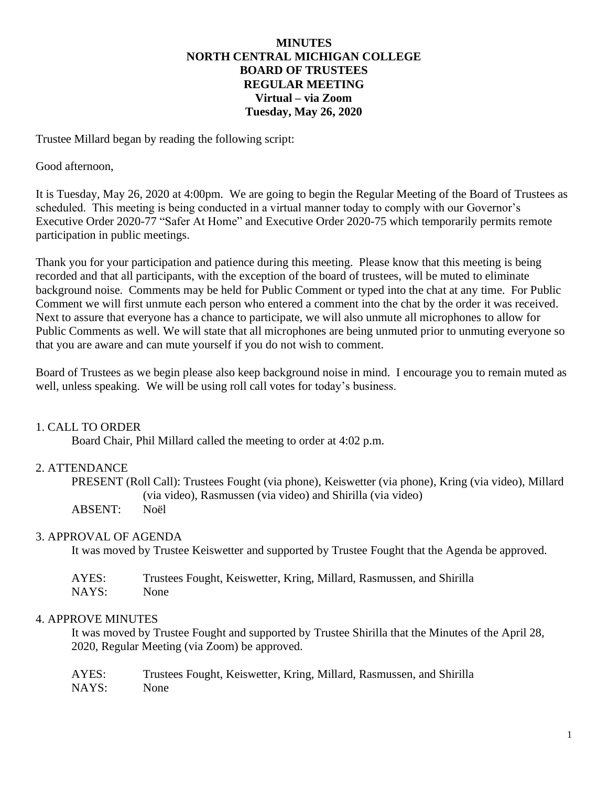# **MINUTES NORTH CENTRAL MICHIGAN COLLEGE BOARD OF TRUSTEES REGULAR MEETING Virtual – via Zoom Tuesday, May 26, 2020**

Trustee Millard began by reading the following script:

Good afternoon,

It is Tuesday, May 26, 2020 at 4:00pm. We are going to begin the Regular Meeting of the Board of Trustees as scheduled. This meeting is being conducted in a virtual manner today to comply with our Governor's Executive Order 2020-77 "Safer At Home" and Executive Order 2020-75 which temporarily permits remote participation in public meetings.

Thank you for your participation and patience during this meeting. Please know that this meeting is being recorded and that all participants, with the exception of the board of trustees, will be muted to eliminate background noise. Comments may be held for Public Comment or typed into the chat at any time. For Public Comment we will first unmute each person who entered a comment into the chat by the order it was received. Next to assure that everyone has a chance to participate, we will also unmute all microphones to allow for Public Comments as well. We will state that all microphones are being unmuted prior to unmuting everyone so that you are aware and can mute yourself if you do not wish to comment.

Board of Trustees as we begin please also keep background noise in mind. I encourage you to remain muted as well, unless speaking. We will be using roll call votes for today's business.

### 1. CALL TO ORDER

Board Chair, Phil Millard called the meeting to order at 4:02 p.m.

#### 2. ATTENDANCE

PRESENT (Roll Call): Trustees Fought (via phone), Keiswetter (via phone), Kring (via video), Millard (via video), Rasmussen (via video) and Shirilla (via video) ABSENT: Noël

#### 3. APPROVAL OF AGENDA

It was moved by Trustee Keiswetter and supported by Trustee Fought that the Agenda be approved.

| AYES: | Trustees Fought, Keiswetter, Kring, Millard, Rasmussen, and Shirilla |
|-------|----------------------------------------------------------------------|
| NAYS: | None                                                                 |

### 4. APPROVE MINUTES

It was moved by Trustee Fought and supported by Trustee Shirilla that the Minutes of the April 28, 2020, Regular Meeting (via Zoom) be approved.

| AYES: | Trustees Fought, Keiswetter, Kring, Millard, Rasmussen, and Shirilla |
|-------|----------------------------------------------------------------------|
| NAYS: | <b>None</b>                                                          |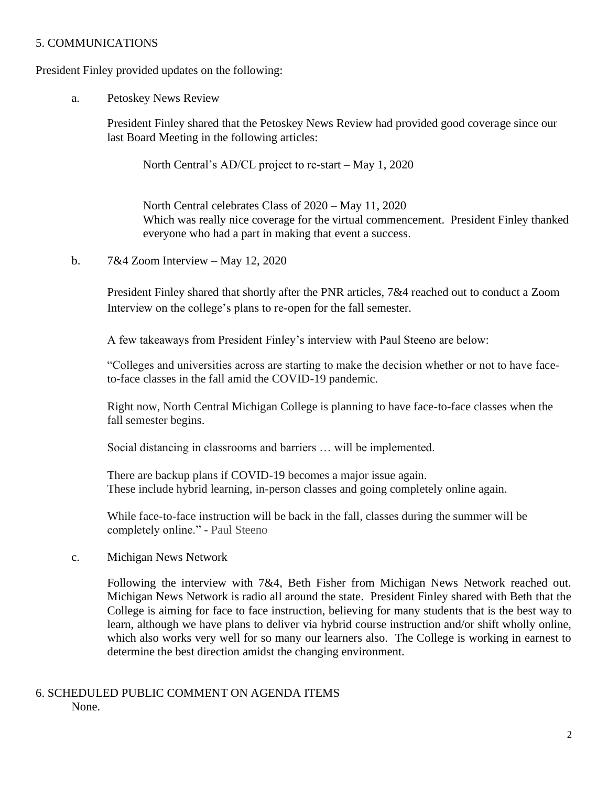# 5. COMMUNICATIONS

President Finley provided updates on the following:

a. Petoskey News Review

President Finley shared that the Petoskey News Review had provided good coverage since our last Board Meeting in the following articles:

North Central's AD/CL project to re-start – May 1, 2020

North Central celebrates Class of 2020 – May 11, 2020 Which was really nice coverage for the virtual commencement. President Finley thanked everyone who had a part in making that event a success.

b.  $7&4$  Zoom Interview – May 12, 2020

President Finley shared that shortly after the PNR articles, 7&4 reached out to conduct a Zoom Interview on the college's plans to re-open for the fall semester.

A few takeaways from President Finley's interview with Paul Steeno are below:

"Colleges and universities across are starting to make the decision whether or not to have faceto-face classes in the fall amid the COVID-19 pandemic.

Right now, North Central Michigan College is planning to have face-to-face classes when the fall semester begins.

Social distancing in classrooms and barriers … will be implemented.

There are backup plans if COVID-19 becomes a major issue again. These include hybrid learning, in-person classes and going completely online again.

While face-to-face instruction will be back in the fall, classes during the summer will be completely online." - Paul Steeno

c. Michigan News Network

Following the interview with 7&4, Beth Fisher from Michigan News Network reached out. Michigan News Network is radio all around the state. President Finley shared with Beth that the College is aiming for face to face instruction, believing for many students that is the best way to learn, although we have plans to deliver via hybrid course instruction and/or shift wholly online, which also works very well for so many our learners also. The College is working in earnest to determine the best direction amidst the changing environment.

6. SCHEDULED PUBLIC COMMENT ON AGENDA ITEMS None.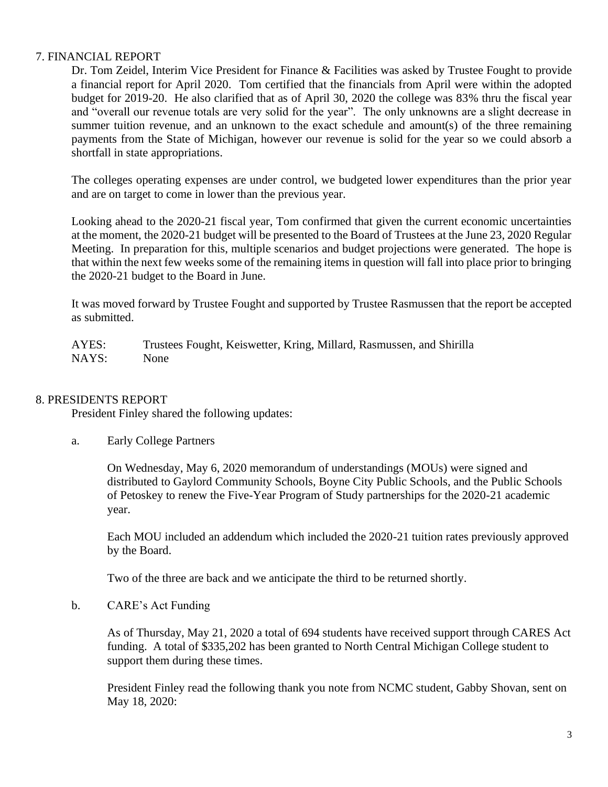# 7. FINANCIAL REPORT

Dr. Tom Zeidel, Interim Vice President for Finance & Facilities was asked by Trustee Fought to provide a financial report for April 2020. Tom certified that the financials from April were within the adopted budget for 2019-20. He also clarified that as of April 30, 2020 the college was 83% thru the fiscal year and "overall our revenue totals are very solid for the year". The only unknowns are a slight decrease in summer tuition revenue, and an unknown to the exact schedule and amount(s) of the three remaining payments from the State of Michigan, however our revenue is solid for the year so we could absorb a shortfall in state appropriations.

The colleges operating expenses are under control, we budgeted lower expenditures than the prior year and are on target to come in lower than the previous year.

Looking ahead to the 2020-21 fiscal year, Tom confirmed that given the current economic uncertainties at the moment, the 2020-21 budget will be presented to the Board of Trustees at the June 23, 2020 Regular Meeting. In preparation for this, multiple scenarios and budget projections were generated. The hope is that within the next few weeks some of the remaining items in question will fall into place prior to bringing the 2020-21 budget to the Board in June.

It was moved forward by Trustee Fought and supported by Trustee Rasmussen that the report be accepted as submitted.

AYES: Trustees Fought, Keiswetter, Kring, Millard, Rasmussen, and Shirilla NAYS: None

### 8. PRESIDENTS REPORT

President Finley shared the following updates:

a. Early College Partners

On Wednesday, May 6, 2020 memorandum of understandings (MOUs) were signed and distributed to Gaylord Community Schools, Boyne City Public Schools, and the Public Schools of Petoskey to renew the Five-Year Program of Study partnerships for the 2020-21 academic year.

Each MOU included an addendum which included the 2020-21 tuition rates previously approved by the Board.

Two of the three are back and we anticipate the third to be returned shortly.

b. CARE's Act Funding

As of Thursday, May 21, 2020 a total of 694 students have received support through CARES Act funding. A total of \$335,202 has been granted to North Central Michigan College student to support them during these times.

President Finley read the following thank you note from NCMC student, Gabby Shovan, sent on May 18, 2020: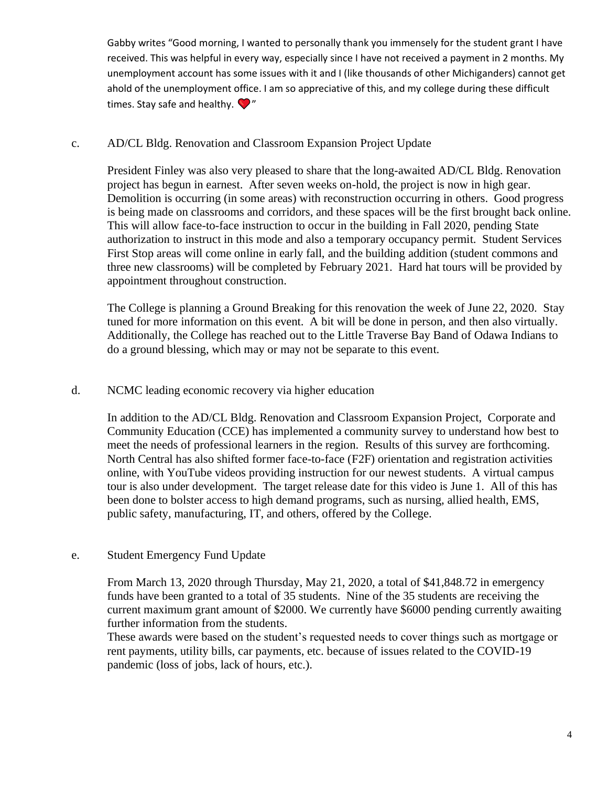Gabby writes "Good morning, I wanted to personally thank you immensely for the student grant I have received. This was helpful in every way, especially since I have not received a payment in 2 months. My unemployment account has some issues with it and I (like thousands of other Michiganders) cannot get ahold of the unemployment office. I am so appreciative of this, and my college during these difficult times. Stay safe and healthy.  $\bigcirc$ "

# c. AD/CL Bldg. Renovation and Classroom Expansion Project Update

President Finley was also very pleased to share that the long-awaited AD/CL Bldg. Renovation project has begun in earnest. After seven weeks on-hold, the project is now in high gear. Demolition is occurring (in some areas) with reconstruction occurring in others. Good progress is being made on classrooms and corridors, and these spaces will be the first brought back online. This will allow face-to-face instruction to occur in the building in Fall 2020, pending State authorization to instruct in this mode and also a temporary occupancy permit. Student Services First Stop areas will come online in early fall, and the building addition (student commons and three new classrooms) will be completed by February 2021. Hard hat tours will be provided by appointment throughout construction.

The College is planning a Ground Breaking for this renovation the week of June 22, 2020. Stay tuned for more information on this event. A bit will be done in person, and then also virtually. Additionally, the College has reached out to the Little Traverse Bay Band of Odawa Indians to do a ground blessing, which may or may not be separate to this event.

# d. NCMC leading economic recovery via higher education

In addition to the AD/CL Bldg. Renovation and Classroom Expansion Project, Corporate and Community Education (CCE) has implemented a community survey to understand how best to meet the needs of professional learners in the region. Results of this survey are forthcoming. North Central has also shifted former face-to-face (F2F) orientation and registration activities online, with YouTube videos providing instruction for our newest students. A virtual campus tour is also under development. The target release date for this video is June 1. All of this has been done to bolster access to high demand programs, such as nursing, allied health, EMS, public safety, manufacturing, IT, and others, offered by the College.

# e. Student Emergency Fund Update

From March 13, 2020 through Thursday, May 21, 2020, a total of \$41,848.72 in emergency funds have been granted to a total of 35 students. Nine of the 35 students are receiving the current maximum grant amount of \$2000. We currently have \$6000 pending currently awaiting further information from the students.

These awards were based on the student's requested needs to cover things such as mortgage or rent payments, utility bills, car payments, etc. because of issues related to the COVID-19 pandemic (loss of jobs, lack of hours, etc.).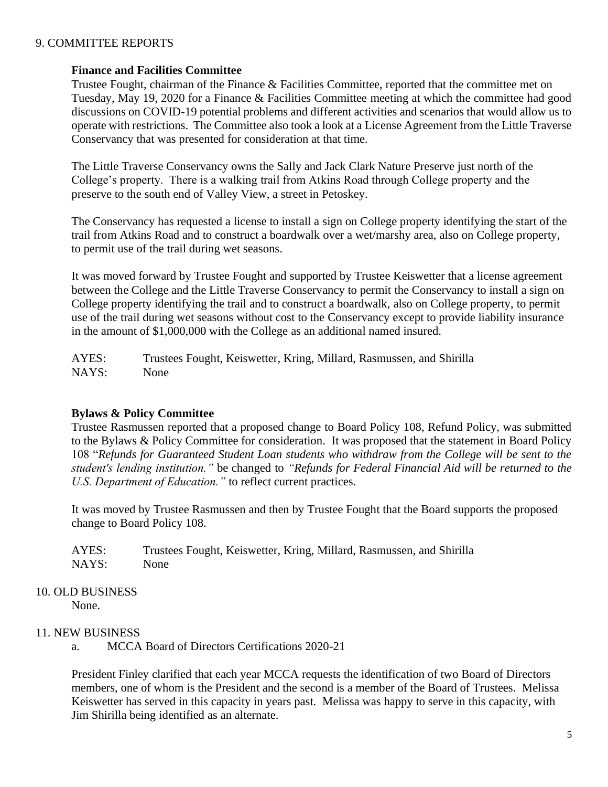# 9. COMMITTEE REPORTS

### **Finance and Facilities Committee**

Trustee Fought, chairman of the Finance & Facilities Committee, reported that the committee met on Tuesday, May 19, 2020 for a Finance & Facilities Committee meeting at which the committee had good discussions on COVID-19 potential problems and different activities and scenarios that would allow us to operate with restrictions. The Committee also took a look at a License Agreement from the Little Traverse Conservancy that was presented for consideration at that time.

The Little Traverse Conservancy owns the Sally and Jack Clark Nature Preserve just north of the College's property. There is a walking trail from Atkins Road through College property and the preserve to the south end of Valley View, a street in Petoskey.

The Conservancy has requested a license to install a sign on College property identifying the start of the trail from Atkins Road and to construct a boardwalk over a wet/marshy area, also on College property, to permit use of the trail during wet seasons.

It was moved forward by Trustee Fought and supported by Trustee Keiswetter that a license agreement between the College and the Little Traverse Conservancy to permit the Conservancy to install a sign on College property identifying the trail and to construct a boardwalk, also on College property, to permit use of the trail during wet seasons without cost to the Conservancy except to provide liability insurance in the amount of \$1,000,000 with the College as an additional named insured.

AYES: Trustees Fought, Keiswetter, Kring, Millard, Rasmussen, and Shirilla NAYS: None

### **Bylaws & Policy Committee**

Trustee Rasmussen reported that a proposed change to Board Policy 108, Refund Policy, was submitted to the Bylaws & Policy Committee for consideration. It was proposed that the statement in Board Policy 108 "*Refunds for Guaranteed Student Loan students who withdraw from the College will be sent to the student's lending institution."* be changed to *"Refunds for Federal Financial Aid will be returned to the U.S. Department of Education."* to reflect current practices.

It was moved by Trustee Rasmussen and then by Trustee Fought that the Board supports the proposed change to Board Policy 108.

| AYES: | Trustees Fought, Keiswetter, Kring, Millard, Rasmussen, and Shirilla |
|-------|----------------------------------------------------------------------|
| NAYS: | <b>None</b>                                                          |

10. OLD BUSINESS

None.

# 11. NEW BUSINESS

a. MCCA Board of Directors Certifications 2020-21

President Finley clarified that each year MCCA requests the identification of two Board of Directors members, one of whom is the President and the second is a member of the Board of Trustees. Melissa Keiswetter has served in this capacity in years past. Melissa was happy to serve in this capacity, with Jim Shirilla being identified as an alternate.